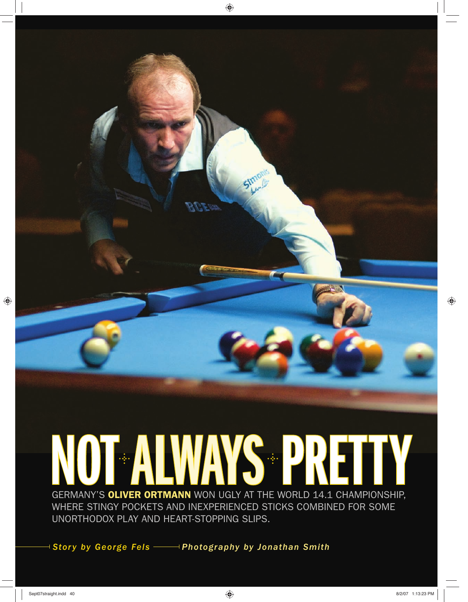

*Story by George Fels Photography by Jonathan Smith* 

 $\bigoplus$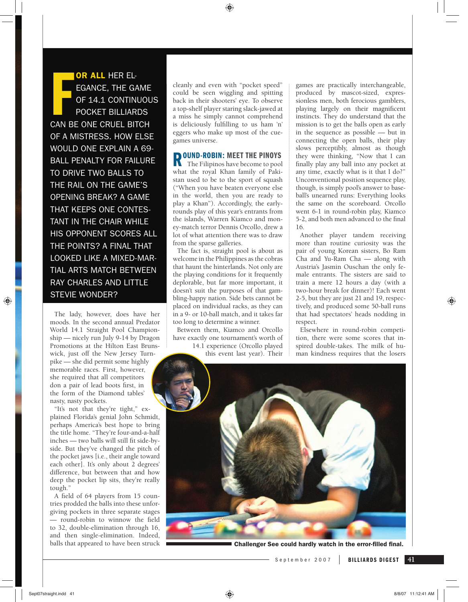◈

**FRICH SCHOOLS CONTINUE CONTINUE CAN BE ONE CRUEL BITCH** OR ALL HER EL-EGANCE, THE GAME OF 14.1 CONTINUOUS POCKET BILLIARDS OF A MISTRESS. HOW ELSE WOULD ONE EXPLAIN A 69- BALL PENALTY FOR FAILURE TO DRIVE TWO BALLS TO THE RAIL ON THE GAME'S OPENING BREAK? A GAME THAT KEEPS ONE CONTES-TANT IN THE CHAIR WHILE HIS OPPONENT SCORES ALL THE POINTS? A FINAL THAT LOOKED LIKE A MIXED-MAR-TIAL ARTS MATCH BETWEEN RAY CHARLES AND LITTLE STEVIE WONDER?

The lady, however, does have her moods. In the second annual Predator World 14.1 Straight Pool Championship — nicely run July 9-14 by Dragon Promotions at the Hilton East Brunswick, just off the New Jersey Turnpike — she did permit some highly memorable races. First, however, she required that all competitors don a pair of lead boots first, in the form of the Diamond tables' nasty, nasty pockets.

"It's not that they're tight," explained Florida's genial John Schmidt, perhaps America's best hope to bring the title home. "They're four-and-a-half inches - two balls will still fit side-byside. But they've changed the pitch of the pocket jaws [i.e., their angle toward each other]. It's only about 2 degrees' difference, but between that and how deep the pocket lip sits, they're really tough."

A field of 64 players from 15 countries prodded the balls into these unforgiving pockets in three separate stages — round-robin to winnow the field to 32, double-elimination through 16, and then single-elimination. Indeed, balls that appeared to have been struck cleanly and even with "pocket speed" could be seen wiggling and spitting back in their shooters' eye. To observe a top-shelf player staring slack-jawed at a miss he simply cannot comprehend is deliciously fulfilling to us ham 'n' eggers who make up most of the cuegames universe.

## **ROUND-ROBIN: MEET THE PINOYS**<br>The Filipinos have become to pool

The Filipinos have become to pool what the royal Khan family of Pakistan used to be to the sport of squash ("When you have beaten everyone else in the world, then you are ready to play a Khan"). Accordingly, the earlyrounds play of this year's entrants from the islands, Warren Kiamco and money-match terror Dennis Orcollo, drew a lot of what attention there was to draw from the sparse galleries.

The fact is, straight pool is about as welcome in the Philippines as the cobras that haunt the hinterlands. Not only are the playing conditions for it frequently deplorable, but far more important, it doesn't suit the purposes of that gambling-happy nation. Side bets cannot be placed on individual racks, as they can in a 9- or 10-ball match, and it takes far too long to determine a winner.

Between them, Kiamco and Orcollo have exactly one tournament's worth of

14.1 experience (Orcollo played this event last year). Their

games are practically interchangeable, produced by mascot-sized, expressionless men, both ferocious gamblers, playing largely on their magnificent instincts. They do understand that the mission is to get the balls open as early in the sequence as possible — but in connecting the open balls, their play slows perceptibly, almost as though they were thinking, "Now that I can finally play any ball into any pocket at any time, exactly what is it that I do?" Unconventional position sequence play, though, is simply pool's answer to baseball's unearned runs: Everything looks the same on the scoreboard. Orcollo went 6-1 in round-robin play, Kiamco 5-2, and both men advanced to the final 16.

Another player tandem receiving more than routine curiosity was the pair of young Korean sisters, Bo Ram Cha and Yu-Ram Cha — along with Austria's Jasmin Ouschan the only female entrants. The sisters are said to train a mere 12 hours a day (with a two-hour break for dinner)! Each went 2-5, but they are just 21 and 19, respectively, and produced some 50-ball runs that had spectators' heads nodding in respect.

Elsewhere in round-robin competition, there were some scores that inspired double-takes. The milk of human kindness requires that the losers

**Challenger See could hardly watch in the error-filled final.** 

September 2007

⊕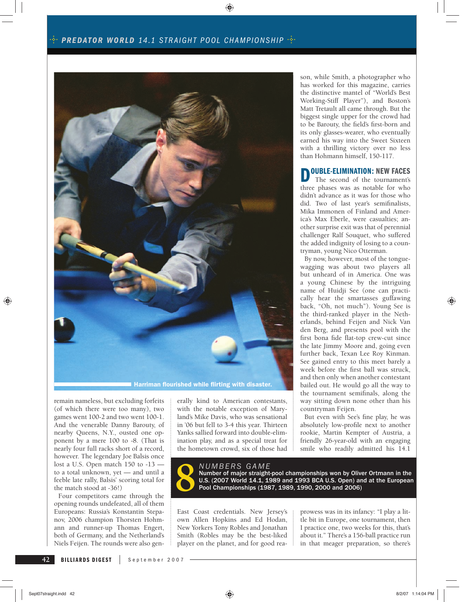#### $\cdot$ <sup>2</sup> PREDATOR WORLD 14.1 STRAIGHT POOL CHAMPIONSHIP  $\cdot$ <sup>2</sup> ·

⊕



remain nameless, but excluding forfeits (of which there were too many), two games went 100-2 and two went 100-1. And the venerable Danny Barouty, of nearby Queens, N.Y., ousted one opponent by a mere 100 to -8. (That is nearly four full racks short of a record, however. The legendary Joe Balsis once lost a U.S. Open match 150 to -13 to a total unknown, yet — and until a feeble late rally, Balsis' scoring total for the match stood at -36!)

Four competitors came through the opening rounds undefeated, all of them Europeans: Russia's Konstantin Stepanov, 2006 champion Thorsten Hohmann and runner-up Thomas Engert, both of Germany, and the Netherland's Niels Feijen. The rounds were also gen-

erally kind to American contestants, with the notable exception of Maryland's Mike Davis, who was sensational in '06 but fell to 3-4 this year. Thirteen Yanks sallied forward into double-elimination play, and as a special treat for the hometown crowd, six of those had son, while Smith, a photographer who has worked for this magazine, carries the distinctive mantel of "World's Best Working-Stiff Player"), and Boston's Matt Tretault all came through. But the biggest single upper for the crowd had to be Barouty, the field's first-born and its only glasses-wearer, who eventually earned his way into the Sweet Sixteen with a thrilling victory over no less than Hohmann himself, 150-117.

## **DOUBLE-ELIMINATION: NEW FACES**

The second of the tournament's three phases was as notable for who didn't advance as it was for those who did. Two of last year's semifinalists, Mika Immonen of Finland and America's Max Eberle, were casualties; another surprise exit was that of perennial challenger Ralf Souquet, who suffered the added indignity of losing to a countryman, young Nico Otterman.

By now, however, most of the tonguewagging was about two players all but unheard of in America. One was a young Chinese by the intriguing name of Huidji See (one can practically hear the smartasses guffawing back, "Oh, not much"). Young See is the third-ranked player in the Netherlands, behind Feijen and Nick Van den Berg, and presents pool with the first bona fide flat-top crew-cut since the late Jimmy Moore and, going even further back, Texan Lee Roy Kinman. See gained entry to this meet barely a week before the first ball was struck, and then only when another contestant bailed out. He would go all the way to the tournament semifinals, along the way sitting down none other than his countryman Feijen.

But even with See's fine play, he was absolutely low-profile next to another rookie, Martin Kempter of Austria, a friendly 26-year-old with an engaging smile who readily admitted his 14.1

*NUMBERS GAME*<br> **8** Number of major straight-pool championships won by Oliver Ortmann in the<br>
U.S. (2007 World 14.1, 1989 and 1993 BCA U.S. Open) and at the European<br>
Pool Championships (1987, 1989, 1990, 2000 and 2006) U.S. (2007 World 14.1, 1989 and 1993 BCA U.S. Open) and at the European Pool Championships (1987, 1989, 1990, 2000 and 2006)

East Coast credentials. New Jersey's own Allen Hopkins and Ed Hodan, New Yorkers Tony Robles and Jonathan Smith (Robles may be the best-liked player on the planet, and for good reaprowess was in its infancy: "I play a little bit in Europe, one tournament, then I practice one, two weeks for this, that's about it." There's a 156-ball practice run in that meager preparation, so there's

**BILLIARDS DIGEST** September 2007

**42**

⊕

♠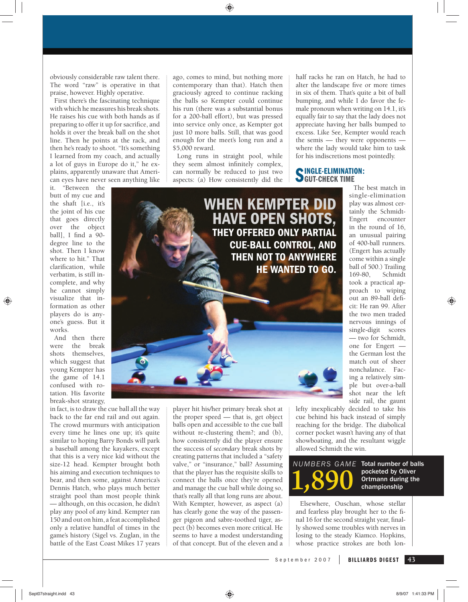obviously considerable raw talent there. The word "raw" is operative in that praise, however. Highly operative.

First there's the fascinating technique with which he measures his break shots. He raises his cue with both hands as if preparing to offer it up for sacrifice, and holds it over the break ball on the shot line. Then he points at the rack, and then he's ready to shoot. "It's something I learned from my coach, and actually a lot of guys in Europe do it," he explains, apparently unaware that American eyes have never seen anything like

it. "Between the butt of my cue and the shaft [i.e., it's the joint of his cue that goes directly over the object ball], I find a  $90$ degree line to the shot. Then I know where to hit." That clarification, while verbatim, is still incomplete, and why he cannot simply visualize that information as other players do is anyone's guess. But it works.

⊕

And then there were the break shots themselves, which suggest that young Kempter has the game of 14.1 confused with rotation. His favorite break-shot strategy,

in fact, is to draw the cue ball all the way back to the far end rail and out again. The crowd murmurs with anticipation every time he lines one up; it's quite similar to hoping Barry Bonds will park a baseball among the kayakers, except that this is a very nice kid without the size-12 head. Kempter brought both his aiming and execution techniques to bear, and then some, against America's Dennis Hatch, who plays much better straight pool than most people think — although, on this occasion, he didn't play any pool of any kind. Kempter ran 150 and out on him, a feat accomplished only a relative handful of times in the game's history (Sigel vs. Zuglan, in the battle of the East Coast Mikes 17 years ago, comes to mind, but nothing more contemporary than that). Hatch then graciously agreed to continue racking the balls so Kempter could continue his run (there was a substantial bonus for a 200-ball effort), but was pressed into service only once, as Kempter got just 10 more balls. Still, that was good enough for the meet's long run and a \$5,000 reward.

⊕

Long runs in straight pool, while they seem almost infinitely complex, can normally be reduced to just two aspects: (a) How consistently did the

half racks he ran on Hatch, he had to alter the landscape five or more times in six of them. That's quite a bit of ball bumping, and while I do favor the female pronoun when writing on 14.1, it's equally fair to say that the lady does not appreciate having her balls bumped to excess. Like See, Kempter would reach the semis — they were opponents where the lady would take him to task for his indiscretions most pointedly.

# SINGLE-ELIMINATION:

**WHEN KEMPTER DID HAVE OPEN SHOTS, THEY OFFERED ONLY PARTIAL CUE-BALL CONTROL, AND THEN NOT TO ANYWHERE HE WANTED TO GO.**

> player hit his/her primary break shot at the proper speed — that is, get object balls open and accessible to the cue ball without re-clustering them?; and (b), how consistently did the player ensure the success of *secondary* break shots by creating patterns that included a "safety valve," or "insurance," ball? Assuming that the player has the requisite skills to connect the balls once they're opened and manage the cue ball while doing so, that's really all that long runs are about. With Kempter, however, as aspect (a) has clearly gone the way of the passenger pigeon and sabre-toothed tiger, aspect (b) becomes even more critical. He seems to have a modest understanding of that concept. But of the eleven and a

play was almost certainly the Schmidt-Engert encounter in the round of 16, an unusual pairing of 400-ball runners. (Engert has actually come within a single ball of 500.) Trailing 169-80, Schmidt took a practical approach to wiping out an 89-ball deficit: He ran 99. After the two men traded nervous innings of single-digit scores — two for Schmidt, one for Engert the German lost the match out of sheer nonchalance. Facing a relatively simple but over-a-ball shot near the left side rail, the gaunt

♠

The best match in single-elimination

lefty inexplicably decided to take his cue behind his back instead of simply reaching for the bridge. The diabolical corner pocket wasn't having any of that showboating, and the resultant wiggle allowed Schmidt the win.

*NUMBERS GAME* **1,890** Total number of balls pocketed by Oliver Ortmann during the championship

Elsewhere, Ouschan, whose stellar and fearless play brought her to the final 16 for the second straight year, finally showed some troubles with nerves in losing to the steady Kiamco. Hopkins, whose practice strokes are both lon-

September 2007

Sept07straight.indd 43 8/9/07 1:41:33 PM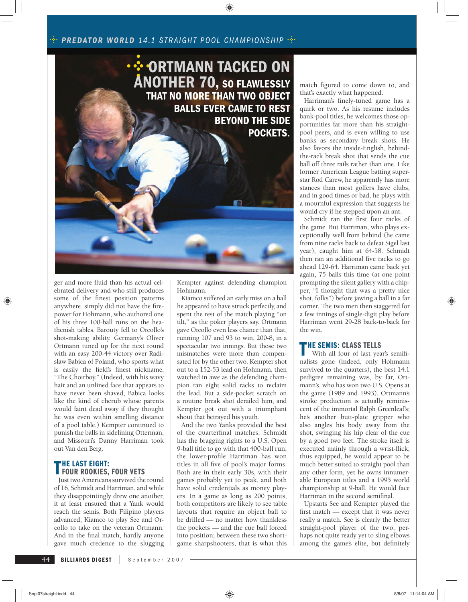### $\cdot$ <sup>2</sup> PREDATOR WORLD 14.1 STRAIGHT POOL CHAMPIONSHIP  $\cdot$ <sup>2</sup> ·



ger and more fluid than his actual celebrated delivery and who still produces some of the finest position patterns anywhere, simply did not have the firepower for Hohmann, who authored one of his three 100-ball runs on the heathenish tables. Barouty fell to Orcollo's shot-making ability. Germany's Oliver Ortmann tuned up for the next round with an easy 200-44 victory over Radislaw Babica of Poland, who sports what is easily the field's finest nickname, "The Choirboy." (Indeed, with his wavy hair and an unlined face that appears to have never been shaved, Babica looks like the kind of cherub whose parents would faint dead away if they thought he was even within smelling distance of a pool table.) Kempter continued to punish the balls in sidelining Otterman, and Missouri's Danny Harriman took out Van den Berg.

# **THE LAST EIGHT: FOUR ROOKIES, FOUR VETS**

Just two Americans survived the round of 16, Schmidt and Harriman, and while they disappointingly drew one another, it at least ensured that a Yank would reach the semis. Both Filipino players advanced, Kiamco to play See and Orcollo to take on the veteran Ortmann. And in the final match, hardly anyone gave much credence to the slugging

Kempter against defending champion Hohmann.

⊕

Kiamco suffered an early miss on a ball he appeared to have struck perfectly, and spent the rest of the match playing "on tilt," as the poker players say. Ortmann gave Orcollo even less chance than that, running 107 and 93 to win, 200-8, in a spectacular two innings. But those two mismatches were more than compensated for by the other two. Kempter shot out to a 152-53 lead on Hohmann, then watched in awe as the defending champion ran eight solid racks to reclaim the lead. But a side-pocket scratch on a routine break shot derailed him, and Kempter got out with a triumphant shout that betrayed his youth.

And the two Yanks provided the best of the quarterfinal matches. Schmidt has the bragging rights to a U.S. Open 9-ball title to go with that 400-ball run; the lower-profile Harriman has won titles in all five of pool's major forms. Both are in their early 30s, with their games probably yet to peak, and both have solid credentials as money players. In a game as long as 200 points, both competitors are likely to see table layouts that require an object ball to be drilled — no matter how thankless the pockets — and the cue ball forced into position; between these two shortgame sharpshooters, that is what this match figured to come down to, and that's exactly what happened.

Harriman's finely-tuned game has a quirk or two. As his resume includes bank-pool titles, he welcomes those opportunities far more than his straightpool peers, and is even willing to use banks as secondary break shots. He also favors the inside-English, behindthe-rack break shot that sends the cue ball off three rails rather than one. Like former American League batting superstar Rod Carew, he apparently has more stances than most golfers have clubs, and in good times or bad, he plays with a mournful expression that suggests he would cry if he stepped upon an ant.

Schmidt ran the first four racks of the game. But Harriman, who plays exceptionally well from behind (he came from nine racks back to defeat Sigel last year), caught him at 64-58. Schmidt then ran an additional five racks to go ahead 129-64. Harriman came back yet again, 75 balls this time (at one point prompting the silent gallery with a chipper, "I thought that was a pretty nice shot, folks") before jawing a ball in a far corner. The two men then staggered for a few innings of single-digit play before Harriman went 29-28 back-to-back for the win.

#### **THE SEMIS: CLASS TELLS**

With all four of last year's semifinalists gone (indeed, only Hohmann survived to the quarters), the best 14.1 pedigree remaining was, by far, Ortmann's, who has won two U.S. Opens at the game (1989 and 1993). Ortmann's stroke production is actually reminiscent of the immortal Ralph Greenleaf's; he's another butt-plate gripper who also angles his body away from the shot, swinging his hip clear of the cue by a good two feet. The stroke itself is executed mainly through a wrist-flick; thus equipped, he would appear to be much better suited to straight pool than any other form, yet he owns innumerable European titles and a 1995 world championship at 9-ball. He would face Harriman in the second semifinal.

Upstarts See and Kempter played the first match  $-$  except that it was never really a match. See is clearly the better straight-pool player of the two, perhaps not quite ready yet to sling elbows among the game's elite, but definitely

**44**

⊕

**BILLIARDS DIGEST** September 2007

♠